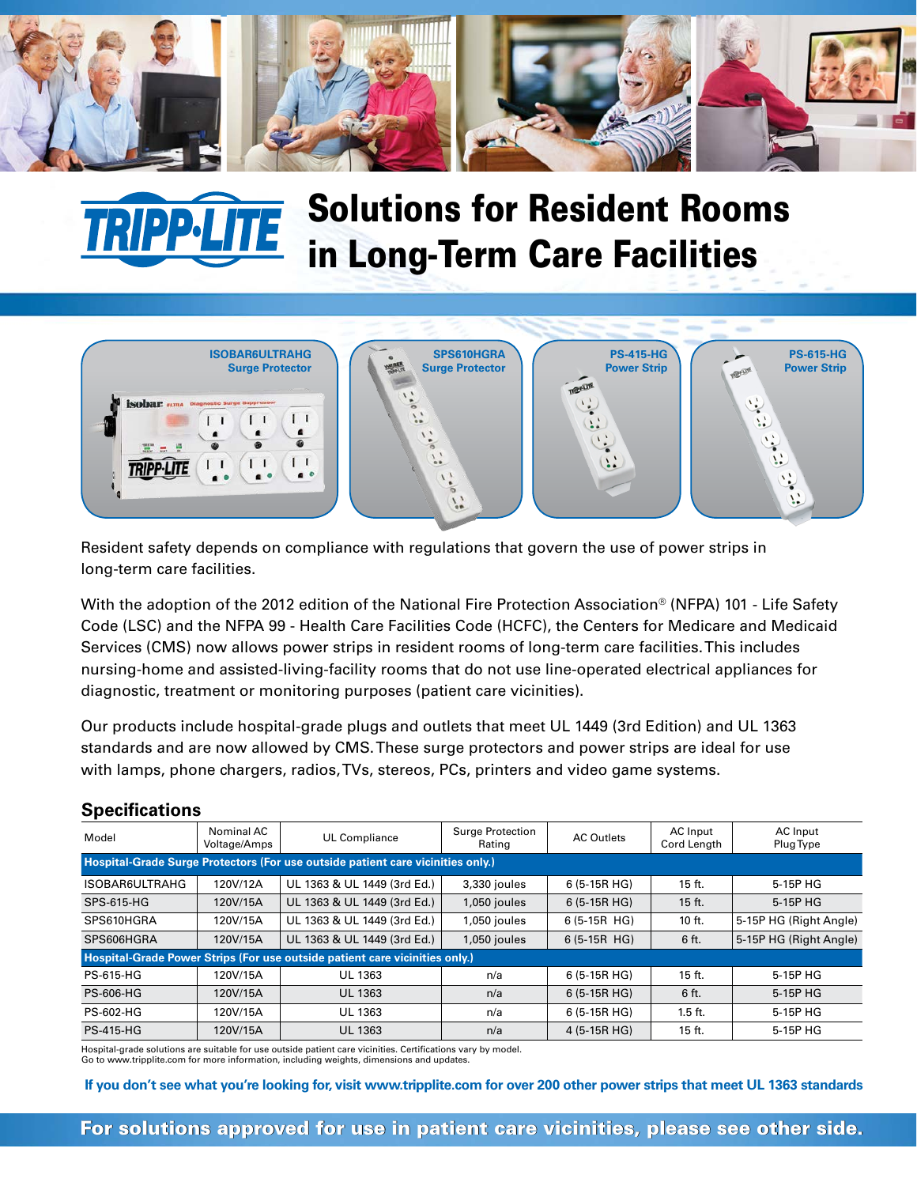

## Solutions for Resident Rooms **TTE** in Long-Term Care Facilities



Resident safety depends on compliance with regulations that govern the use of power strips in long-term care facilities.

With the adoption of the 2012 edition of the National Fire Protection Association® (NFPA) 101 - Life Safety Code (LSC) and the NFPA 99 - Health Care Facilities Code (HCFC), the Centers for Medicare and Medicaid Services (CMS) now allows power strips in resident rooms of long-term care facilities. This includes nursing-home and assisted-living-facility rooms that do not use line-operated electrical appliances for diagnostic, treatment or monitoring purposes (patient care vicinities).

Our products include hospital-grade plugs and outlets that meet UL 1449 (3rd Edition) and UL 1363 standards and are now allowed by CMS. These surge protectors and power strips are ideal for use with lamps, phone chargers, radios, TVs, stereos, PCs, printers and video game systems.

| Model                                                                           | Nominal AC<br>Voltage/Amps | UL Compliance               | Surge Protection<br>Rating | AC Outlets    | AC Input<br>Cord Length | AC Input<br>Plug Type  |  |  |  |  |
|---------------------------------------------------------------------------------|----------------------------|-----------------------------|----------------------------|---------------|-------------------------|------------------------|--|--|--|--|
| Hospital-Grade Surge Protectors (For use outside patient care vicinities only.) |                            |                             |                            |               |                         |                        |  |  |  |  |
| ISOBAR6ULTRAHG                                                                  | 120V/12A                   | UL 1363 & UL 1449 (3rd Ed.) | 3,330 joules               | $6(5-15R HG)$ | 15 ft.                  | 5-15P HG               |  |  |  |  |
| SPS-615-HG                                                                      | 120V/15A                   | UL 1363 & UL 1449 (3rd Ed.) | 1,050 joules               | $6(5-15R)$    | $15$ ft.                | 5-15P HG               |  |  |  |  |
| SPS610HGRA                                                                      | 120V/15A                   | UL 1363 & UL 1449 (3rd Ed.) | 1,050 joules               | $6(5-15R$ HG) | 10 ft.                  | 5-15P HG (Right Angle) |  |  |  |  |
| SPS606HGRA                                                                      | 120V/15A                   | UL 1363 & UL 1449 (3rd Ed.) | 1,050 joules               | $6(5-15R$ HG) | 6 ft.                   | 5-15P HG (Right Angle) |  |  |  |  |
| Hospital-Grade Power Strips (For use outside patient care vicinities only.)     |                            |                             |                            |               |                         |                        |  |  |  |  |
| PS-615-HG                                                                       | 120V/15A                   | UL 1363                     | n/a                        | 6 (5-15R HG)  | $15$ ft.                | 5-15P HG               |  |  |  |  |
| <b>PS-606-HG</b>                                                                | 120V/15A                   | UL 1363                     | n/a                        | $6(5-15R)$    | 6 ft.                   | 5-15P HG               |  |  |  |  |
| PS-602-HG                                                                       | 120V/15A                   | UL 1363                     | n/a                        | $6(5-15R HG)$ | $1.5$ ft.               | 5-15P HG               |  |  |  |  |
| <b>PS-415-HG</b>                                                                | 120V/15A                   | <b>UL 1363</b>              | n/a                        | 4 (5-15R HG)  | $15$ ft.                | 5-15P HG               |  |  |  |  |

## **Specifications**

Hospital-grade solutions are suitable for use outside patient care vicinities. Certifications vary by model.

Go to www.tripplite.com for more information, including weights, dimensions and updates.

 **If you don't see what you're looking for, visit www.tripplite.com for over 200 other power strips that meet UL 1363 standards**

For solutions approved for use in patient care vicinities, please see other side.